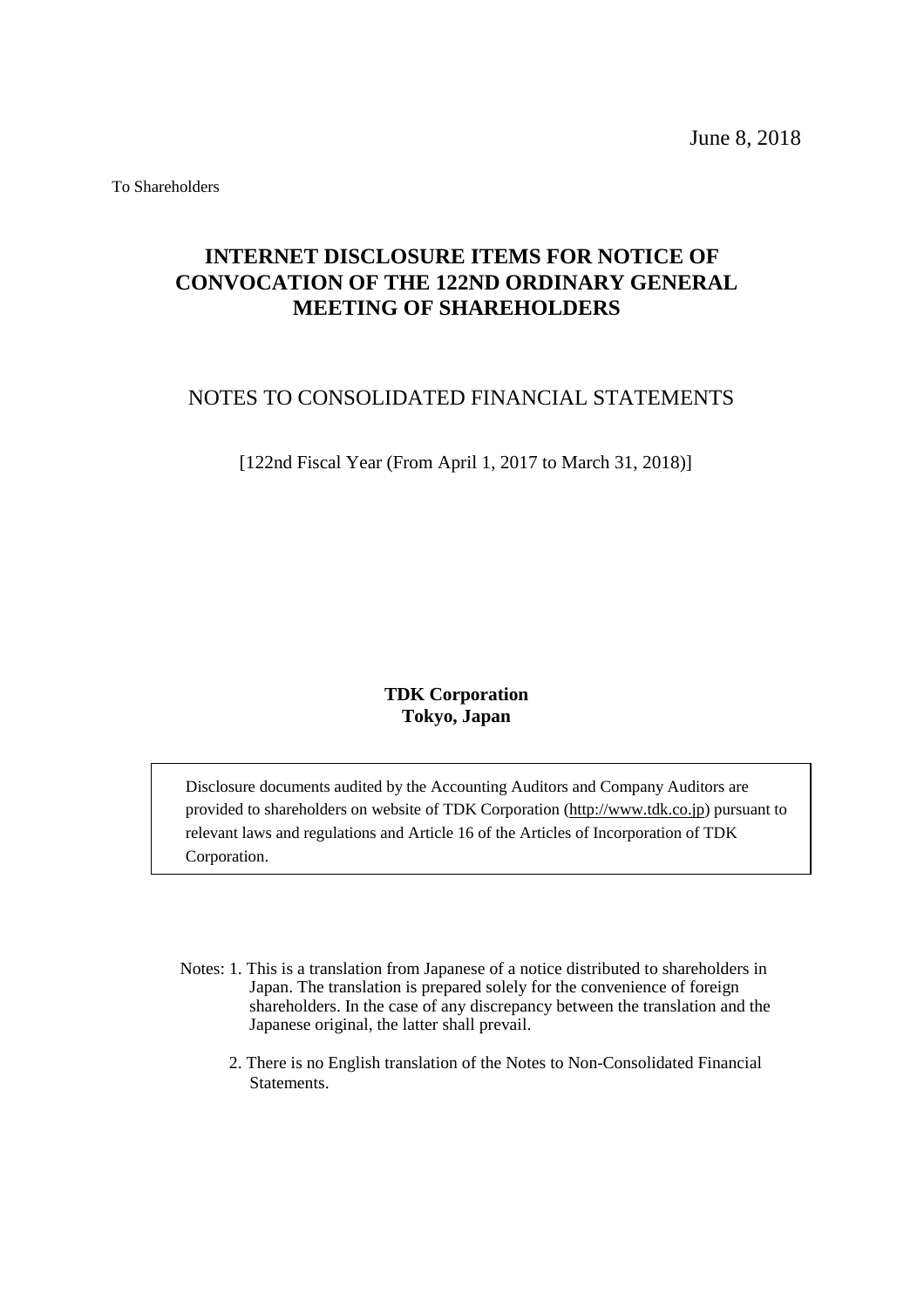June 8, 2018

To Shareholders

# **INTERNET DISCLOSURE ITEMS FOR NOTICE OF CONVOCATION OF THE 122ND ORDINARY GENERAL MEETING OF SHAREHOLDERS**

# NOTES TO CONSOLIDATED FINANCIAL STATEMENTS

[122nd Fiscal Year (From April 1, 2017 to March 31, 2018)]

# **TDK Corporation Tokyo, Japan**

Disclosure documents audited by the Accounting Auditors and Company Auditors are provided to shareholders on website of TDK Corporation [\(http://www.tdk.co.jp\)](http://www/tdk.co.jp) pursuant to relevant laws and regulations and Article 16 of the Articles of Incorporation of TDK Corporation.

- Notes: 1. This is a translation from Japanese of a notice distributed to shareholders in Japan. The translation is prepared solely for the convenience of foreign shareholders. In the case of any discrepancy between the translation and the Japanese original, the latter shall prevail.
	- 2. There is no English translation of the Notes to Non-Consolidated Financial Statements.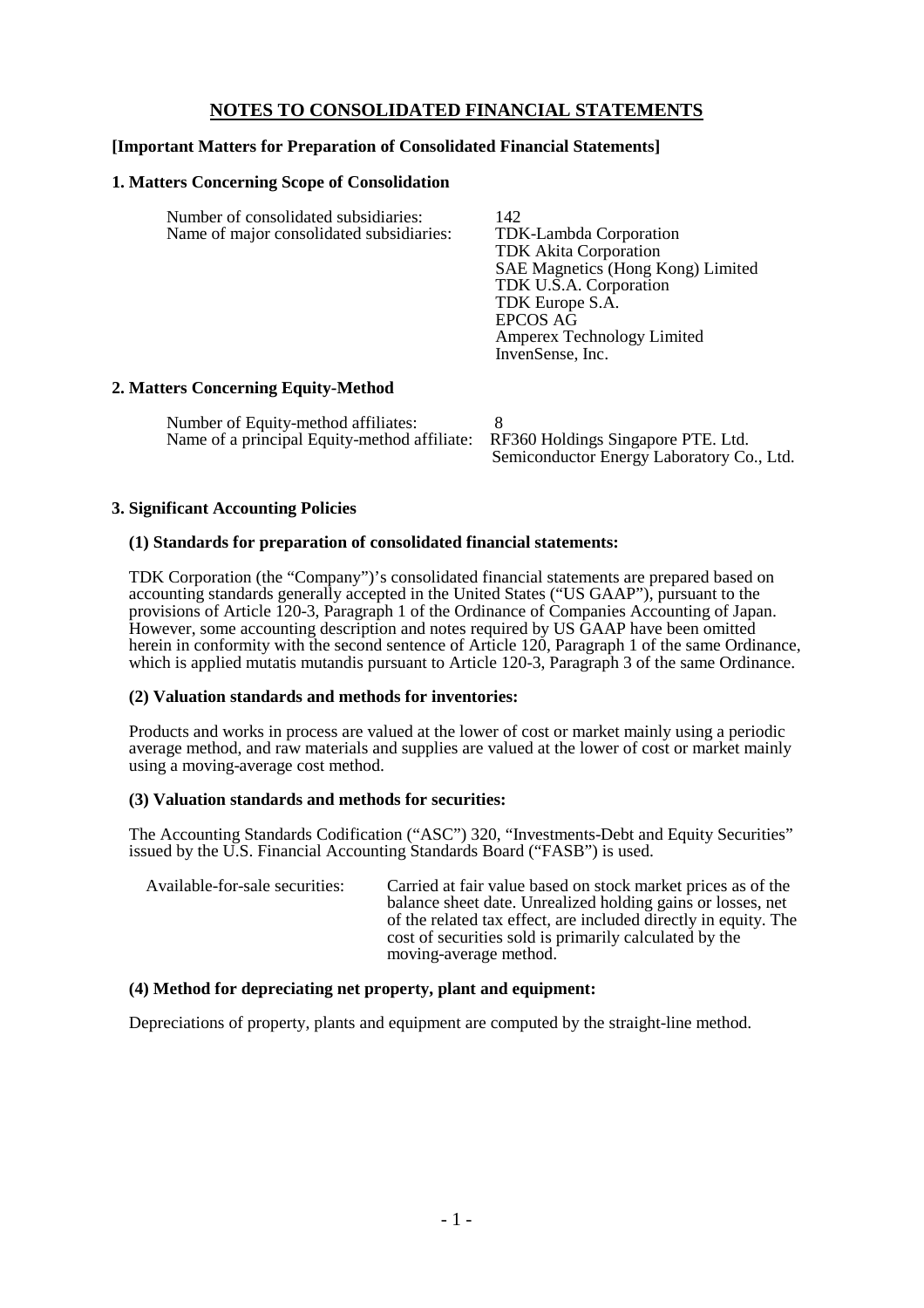# **NOTES TO CONSOLIDATED FINANCIAL STATEMENTS**

# **[Important Matters for Preparation of Consolidated Financial Statements]**

#### **1. Matters Concerning Scope of Consolidation**

| Number of consolidated subsidiaries:                  | 142                               |
|-------------------------------------------------------|-----------------------------------|
| Name of major consolidated subsidiaries:              | TDK-Lambda Corporation            |
|                                                       | <b>TDK</b> Akita Corporation      |
|                                                       | SAE Magnetics (Hong Kong) Limited |
|                                                       | TDK U.S.A. Corporation            |
|                                                       | TDK Europe S.A.                   |
|                                                       | <b>EPCOS AG</b>                   |
|                                                       | <b>Amperex Technology Limited</b> |
|                                                       | InvenSense, Inc.                  |
| $\alpha$ $\alpha$ $\alpha$ $\alpha$ $\alpha$ $\alpha$ |                                   |

# **2. Matters Concerning Equity-Method**

| Number of Equity-method affiliates:                                             |                                           |
|---------------------------------------------------------------------------------|-------------------------------------------|
| Name of a principal Equity-method affiliate: RF360 Holdings Singapore PTE. Ltd. |                                           |
|                                                                                 | Semiconductor Energy Laboratory Co., Ltd. |

#### **3. Significant Accounting Policies**

#### **(1) Standards for preparation of consolidated financial statements:**

TDK Corporation (the "Company")'s consolidated financial statements are prepared based on accounting standards generally accepted in the United States ("US GAAP"), pursuant to the provisions of Article 120-3, Paragraph 1 of the Ordinance of Companies Accounting of Japan. However, some accounting description and notes required by US GAAP have been omitted herein in conformity with the second sentence of Article 120, Paragraph 1 of the same Ordinance, which is applied mutatis mutandis pursuant to Article 120-3, Paragraph 3 of the same Ordinance.

# **(2) Valuation standards and methods for inventories:**

Products and works in process are valued at the lower of cost or market mainly using a periodic average method, and raw materials and supplies are valued at the lower of cost or market mainly using a moving-average cost method.

## **(3) Valuation standards and methods for securities:**

The Accounting Standards Codification ("ASC") 320, "Investments-Debt and Equity Securities" issued by the U.S. Financial Accounting Standards Board ("FASB") is used.

| Available-for-sale securities: | Carried at fair value based on stock market prices as of the    |
|--------------------------------|-----------------------------------------------------------------|
|                                | balance sheet date. Unrealized holding gains or losses, net     |
|                                | of the related tax effect, are included directly in equity. The |
|                                | cost of securities sold is primarily calculated by the          |
|                                | moving-average method.                                          |

# **(4) Method for depreciating net property, plant and equipment:**

Depreciations of property, plants and equipment are computed by the straight-line method.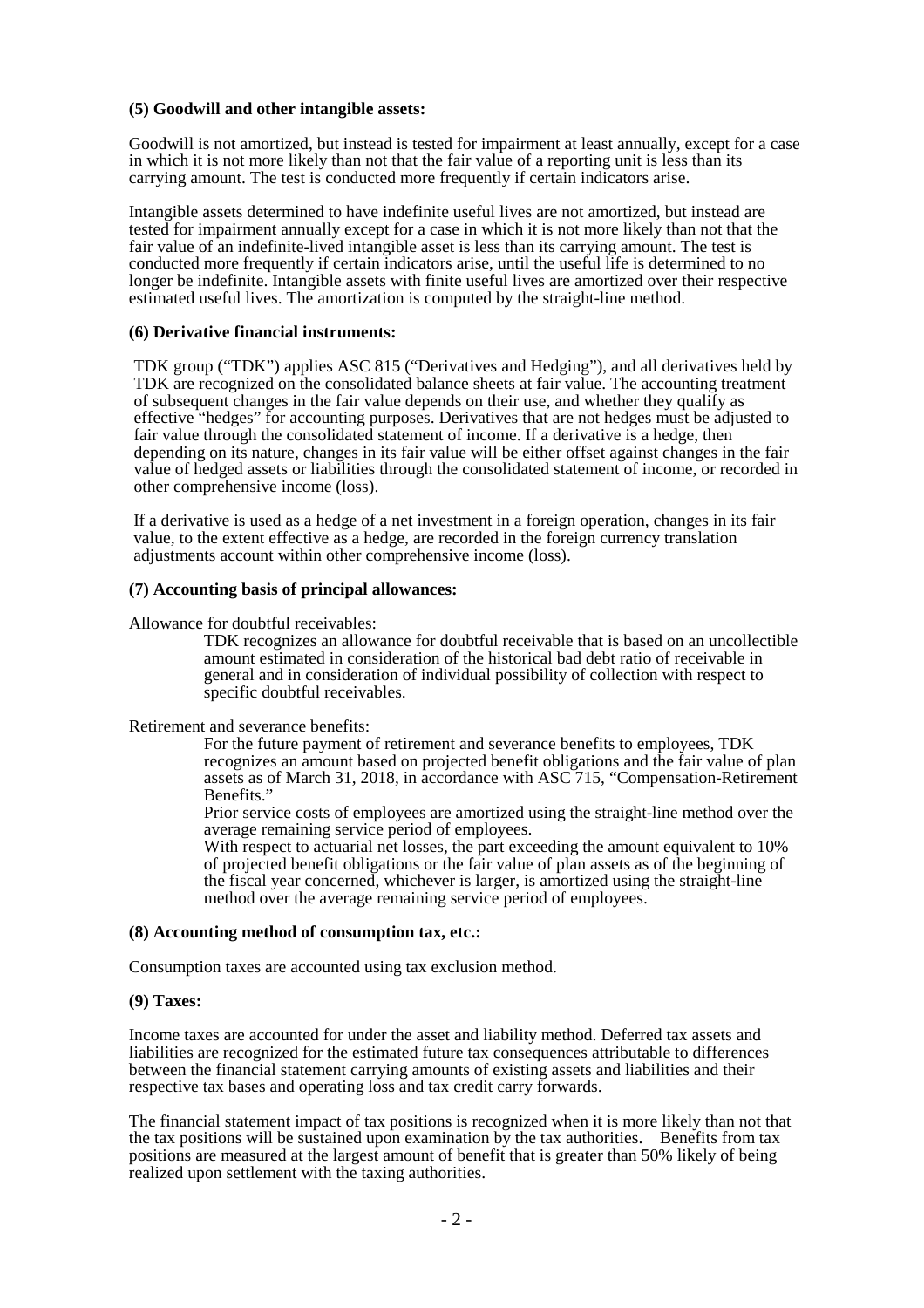#### **(5) Goodwill and other intangible assets:**

Goodwill is not amortized, but instead is tested for impairment at least annually, except for a case in which it is not more likely than not that the fair value of a reporting unit is less than its carrying amount. The test is conducted more frequently if certain indicators arise.

Intangible assets determined to have indefinite useful lives are not amortized, but instead are tested for impairment annually except for a case in which it is not more likely than not that the fair value of an indefinite-lived intangible asset is less than its carrying amount. The test is conducted more frequently if certain indicators arise, until the useful life is determined to no longer be indefinite. Intangible assets with finite useful lives are amortized over their respective estimated useful lives. The amortization is computed by the straight-line method.

# **(6) Derivative financial instruments:**

TDK group ("TDK") applies ASC 815 ("Derivatives and Hedging"), and all derivatives held by TDK are recognized on the consolidated balance sheets at fair value. The accounting treatment of subsequent changes in the fair value depends on their use, and whether they qualify as effective "hedges" for accounting purposes. Derivatives that are not hedges must be adjusted to fair value through the consolidated statement of income. If a derivative is a hedge, then depending on its nature, changes in its fair value will be either offset against changes in the fair value of hedged assets or liabilities through the consolidated statement of income, or recorded in other comprehensive income (loss).

If a derivative is used as a hedge of a net investment in a foreign operation, changes in its fair value, to the extent effective as a hedge, are recorded in the foreign currency translation adjustments account within other comprehensive income (loss).

#### **(7) Accounting basis of principal allowances:**

Allowance for doubtful receivables:

TDK recognizes an allowance for doubtful receivable that is based on an uncollectible amount estimated in consideration of the historical bad debt ratio of receivable in general and in consideration of individual possibility of collection with respect to specific doubtful receivables.

Retirement and severance benefits:

For the future payment of retirement and severance benefits to employees, TDK recognizes an amount based on projected benefit obligations and the fair value of plan assets as of March 31, 2018, in accordance with ASC 715, "Compensation-Retirement Benefits."

Prior service costs of employees are amortized using the straight-line method over the average remaining service period of employees.

With respect to actuarial net losses, the part exceeding the amount equivalent to 10% of projected benefit obligations or the fair value of plan assets as of the beginning of the fiscal year concerned, whichever is larger, is amortized using the straight-line method over the average remaining service period of employees.

# **(8) Accounting method of consumption tax, etc.:**

Consumption taxes are accounted using tax exclusion method.

# **(9) Taxes:**

Income taxes are accounted for under the asset and liability method. Deferred tax assets and liabilities are recognized for the estimated future tax consequences attributable to differences between the financial statement carrying amounts of existing assets and liabilities and their respective tax bases and operating loss and tax credit carry forwards.

The financial statement impact of tax positions is recognized when it is more likely than not that the tax positions will be sustained upon examination by the tax authorities. Benefits from tax positions are measured at the largest amount of benefit that is greater than 50% likely of being realized upon settlement with the taxing authorities.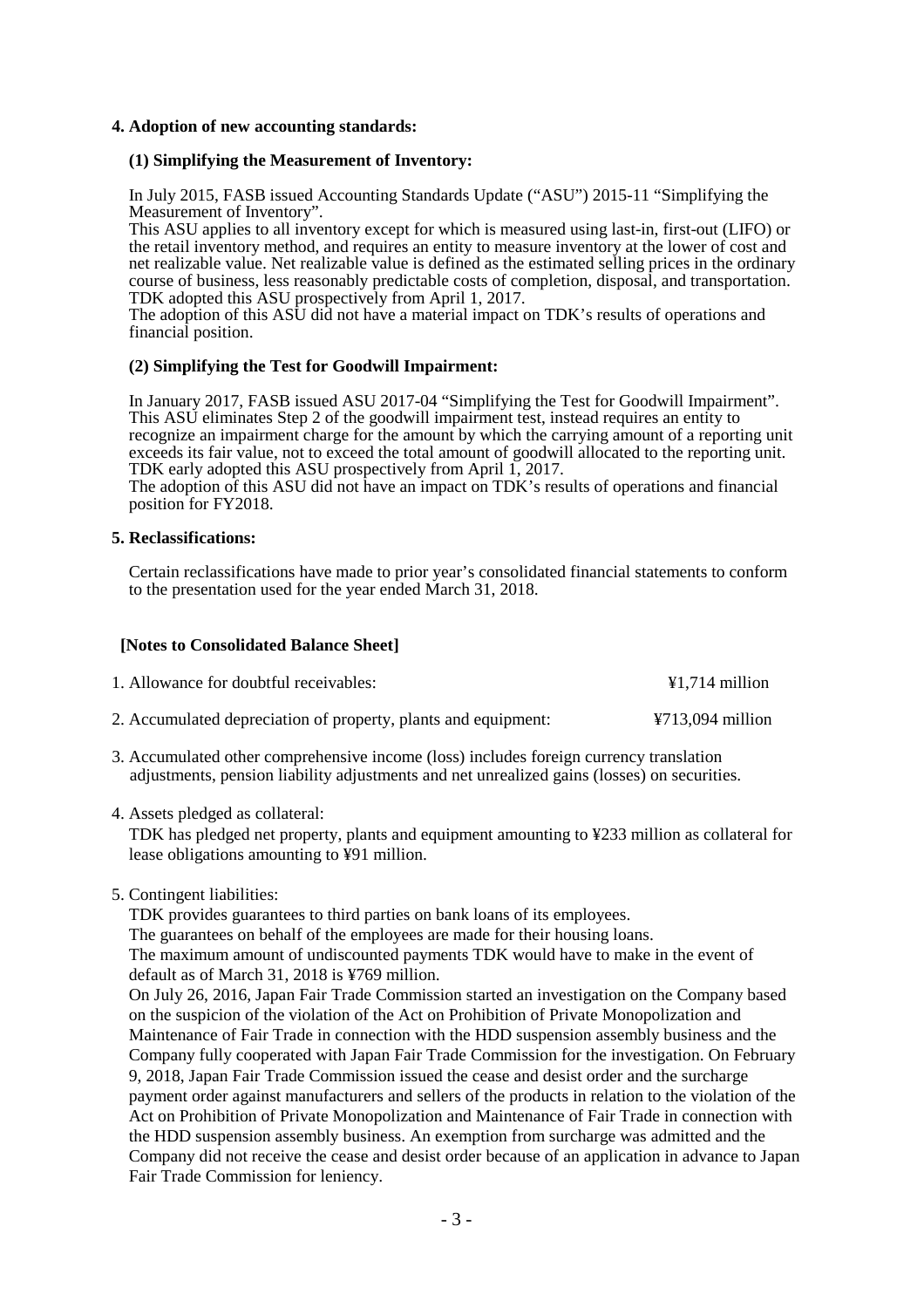## **4. Adoption of new accounting standards:**

#### **(1) Simplifying the Measurement of Inventory:**

In July 2015, FASB issued Accounting Standards Update ("ASU") 2015-11 "Simplifying the Measurement of Inventory".

This ASU applies to all inventory except for which is measured using last-in, first-out (LIFO) or the retail inventory method, and requires an entity to measure inventory at the lower of cost and net realizable value. Net realizable value is defined as the estimated selling prices in the ordinary course of business, less reasonably predictable costs of completion, disposal, and transportation. TDK adopted this ASU prospectively from April 1, 2017.

The adoption of this ASU did not have a material impact on TDK's results of operations and financial position.

#### **(2) Simplifying the Test for Goodwill Impairment:**

In January 2017, FASB issued ASU 2017-04 "Simplifying the Test for Goodwill Impairment". This ASU eliminates Step 2 of the goodwill impairment test, instead requires an entity to recognize an impairment charge for the amount by which the carrying amount of a reporting unit exceeds its fair value, not to exceed the total amount of goodwill allocated to the reporting unit. TDK early adopted this ASU prospectively from April 1, 2017.

The adoption of this ASU did not have an impact on TDK's results of operations and financial position for FY2018.

#### **5. Reclassifications:**

Certain reclassifications have made to prior year's consolidated financial statements to conform to the presentation used for the year ended March 31, 2018.

#### **[Notes to Consolidated Balance Sheet]**

| 1. Allowance for doubtful receivables:                         | $\text{\#}1,714$ million              |
|----------------------------------------------------------------|---------------------------------------|
| 2. Accumulated depreciation of property, plants and equipment: | $\text{\textsterling}713,094$ million |

- 3. Accumulated other comprehensive income (loss) includes foreign currency translation adjustments, pension liability adjustments and net unrealized gains (losses) on securities.
- 4. Assets pledged as collateral:

TDK has pledged net property, plants and equipment amounting to ¥233 million as collateral for lease obligations amounting to ¥91 million.

5. Contingent liabilities:

TDK provides guarantees to third parties on bank loans of its employees.

The guarantees on behalf of the employees are made for their housing loans. The maximum amount of undiscounted payments TDK would have to make in the event of default as of March 31, 2018 is ¥769 million.

On July 26, 2016, Japan Fair Trade Commission started an investigation on the Company based on the suspicion of the violation of the Act on Prohibition of Private Monopolization and Maintenance of Fair Trade in connection with the HDD suspension assembly business and the Company fully cooperated with Japan Fair Trade Commission for the investigation. On February 9, 2018, Japan Fair Trade Commission issued the cease and desist order and the surcharge payment order against manufacturers and sellers of the products in relation to the violation of the Act on Prohibition of Private Monopolization and Maintenance of Fair Trade in connection with the HDD suspension assembly business. An exemption from surcharge was admitted and the Company did not receive the cease and desist order because of an application in advance to Japan Fair Trade Commission for leniency.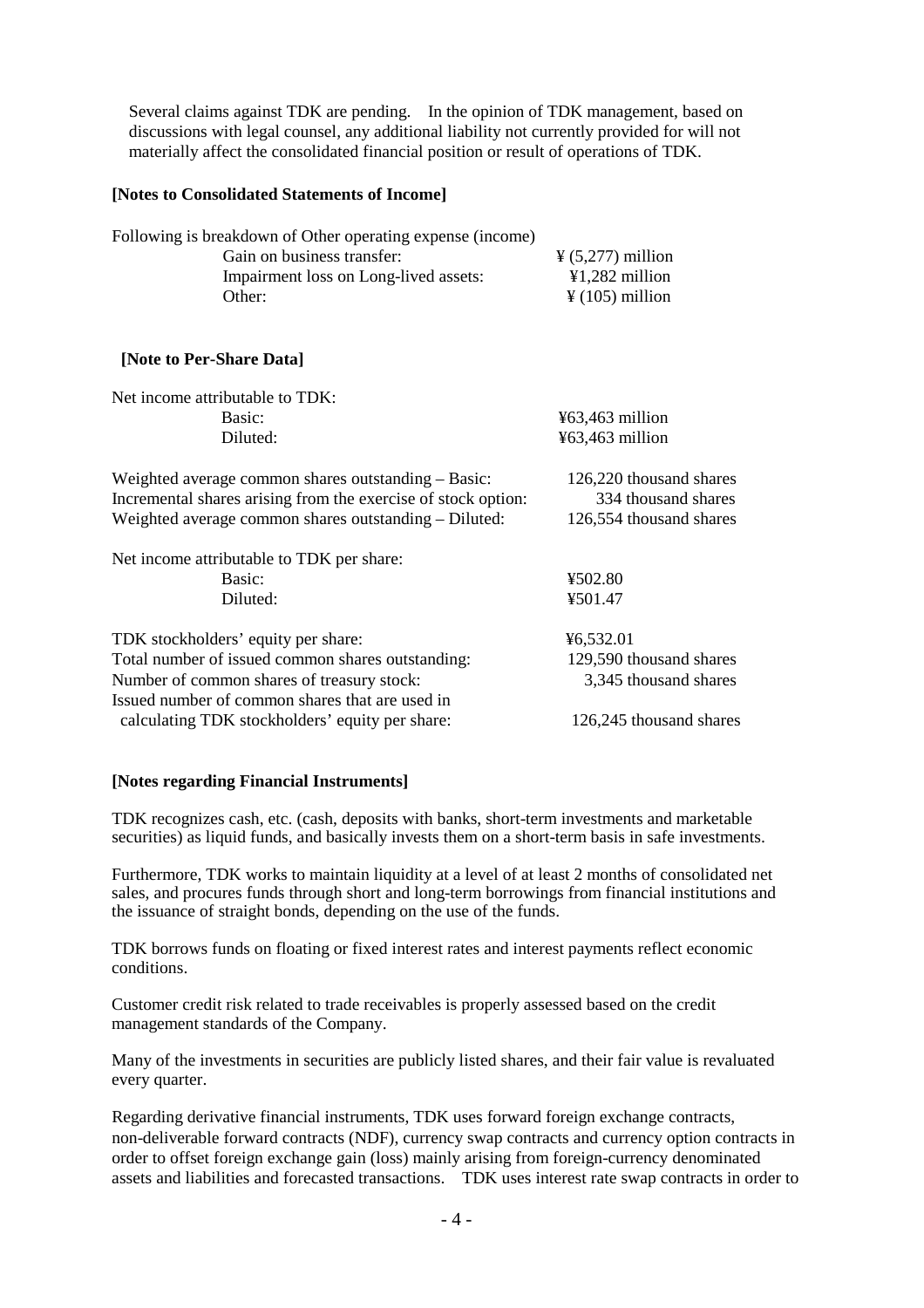Several claims against TDK are pending. In the opinion of TDK management, based on discussions with legal counsel, any additional liability not currently provided for will not materially affect the consolidated financial position or result of operations of TDK.

# **[Notes to Consolidated Statements of Income]**

| Following is breakdown of Other operating expense (income) |                                     |
|------------------------------------------------------------|-------------------------------------|
| Gain on business transfer:                                 | $\frac{1}{2}$ (5,277) million       |
| Impairment loss on Long-lived assets:                      | $\text{\textsterling}1,282$ million |
| Other:                                                     | $\frac{1}{2}$ (105) million         |

# **[Note to Per-Share Data]**

| Net income attributable to TDK:                               |                         |
|---------------------------------------------------------------|-------------------------|
| Basic:                                                        | $463,463$ million       |
| Diluted:                                                      | $463,463$ million       |
| Weighted average common shares outstanding – Basic:           | 126,220 thousand shares |
| Incremental shares arising from the exercise of stock option: | 334 thousand shares     |
| Weighted average common shares outstanding – Diluted:         | 126,554 thousand shares |
| Net income attributable to TDK per share:                     |                         |
| Basic:                                                        | ¥502.80                 |
| Diluted:                                                      | ¥501.47                 |
| TDK stockholders' equity per share:                           | ¥6,532.01               |
| Total number of issued common shares outstanding:             | 129,590 thousand shares |
| Number of common shares of treasury stock:                    | 3,345 thousand shares   |
| Issued number of common shares that are used in               |                         |
| calculating TDK stockholders' equity per share:               | 126,245 thousand shares |

# **[Notes regarding Financial Instruments]**

TDK recognizes cash, etc. (cash, deposits with banks, short-term investments and marketable securities) as liquid funds, and basically invests them on a short-term basis in safe investments.

Furthermore, TDK works to maintain liquidity at a level of at least 2 months of consolidated net sales, and procures funds through short and long-term borrowings from financial institutions and the issuance of straight bonds, depending on the use of the funds.

TDK borrows funds on floating or fixed interest rates and interest payments reflect economic conditions.

Customer credit risk related to trade receivables is properly assessed based on the credit management standards of the Company.

Many of the investments in securities are publicly listed shares, and their fair value is revaluated every quarter.

Regarding derivative financial instruments, TDK uses forward foreign exchange contracts, non-deliverable forward contracts (NDF), currency swap contracts and currency option contracts in order to offset foreign exchange gain (loss) mainly arising from foreign-currency denominated assets and liabilities and forecasted transactions. TDK uses interest rate swap contracts in order to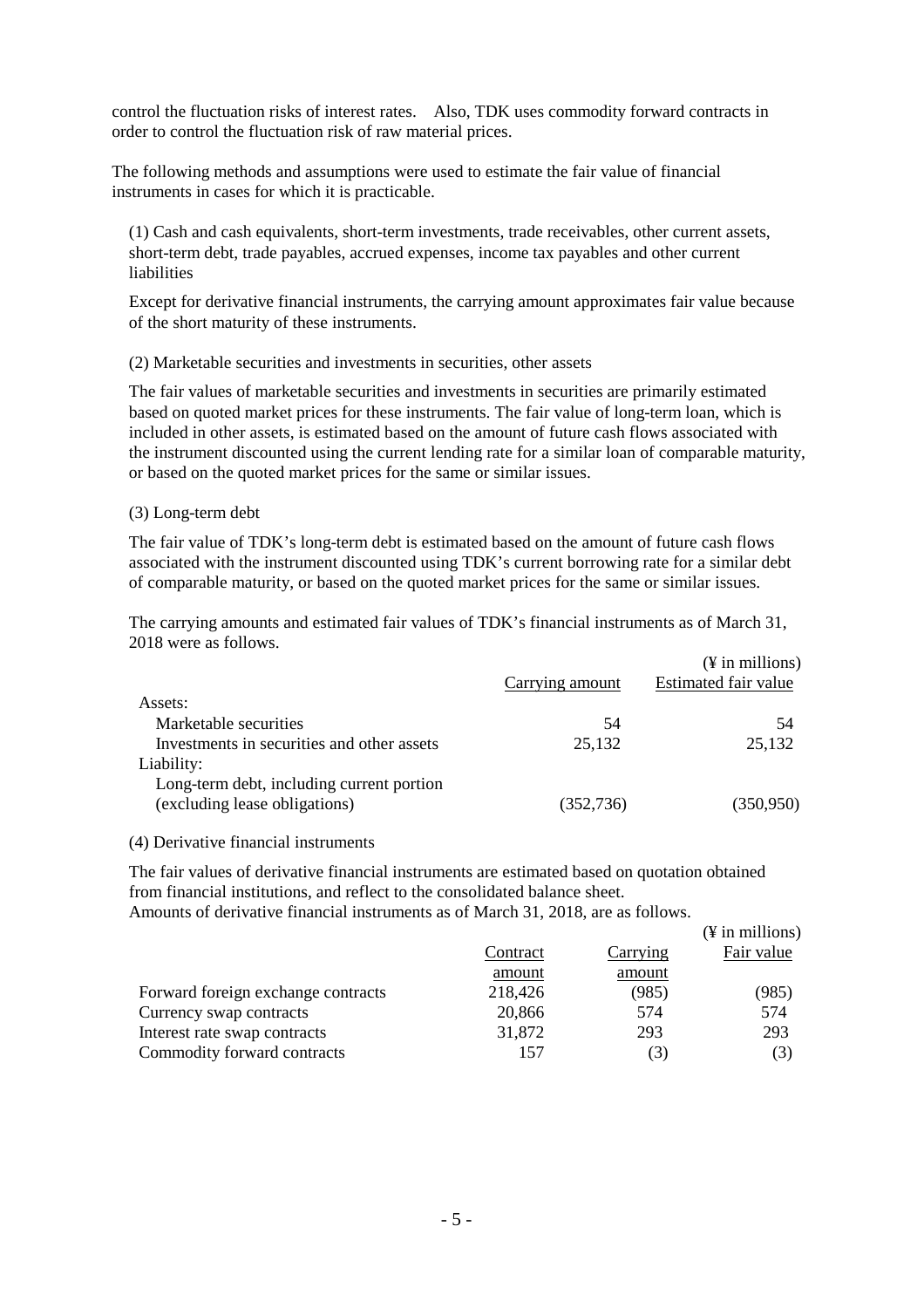control the fluctuation risks of interest rates. Also, TDK uses commodity forward contracts in order to control the fluctuation risk of raw material prices.

The following methods and assumptions were used to estimate the fair value of financial instruments in cases for which it is practicable.

(1) Cash and cash equivalents, short-term investments, trade receivables, other current assets, short-term debt, trade payables, accrued expenses, income tax payables and other current liabilities

Except for derivative financial instruments, the carrying amount approximates fair value because of the short maturity of these instruments.

# (2) Marketable securities and investments in securities, other assets

The fair values of marketable securities and investments in securities are primarily estimated based on quoted market prices for these instruments. The fair value of long-term loan, which is included in other assets, is estimated based on the amount of future cash flows associated with the instrument discounted using the current lending rate for a similar loan of comparable maturity, or based on the quoted market prices for the same or similar issues.

# (3) Long-term debt

The fair value of TDK's long-term debt is estimated based on the amount of future cash flows associated with the instrument discounted using TDK's current borrowing rate for a similar debt of comparable maturity, or based on the quoted market prices for the same or similar issues.

The carrying amounts and estimated fair values of TDK's financial instruments as of March 31, 2018 were as follows.

|                                            |                 | $(\frac{1}{2}$ in millions) |
|--------------------------------------------|-----------------|-----------------------------|
|                                            | Carrying amount | Estimated fair value        |
| Assets:                                    |                 |                             |
| Marketable securities                      | 54              | 54                          |
| Investments in securities and other assets | 25,132          | 25,132                      |
| Liability:                                 |                 |                             |
| Long-term debt, including current portion  |                 |                             |
| (excluding lease obligations)              | (352, 736)      | (350, 950)                  |
|                                            |                 |                             |

# (4) Derivative financial instruments

The fair values of derivative financial instruments are estimated based on quotation obtained from financial institutions, and reflect to the consolidated balance sheet.

Amounts of derivative financial instruments as of March 31, 2018, are as follows.

|                                    |          |          | $(\frac{1}{2}$ in millions) |
|------------------------------------|----------|----------|-----------------------------|
|                                    | Contract | Carrying | Fair value                  |
|                                    | amount   | amount   |                             |
| Forward foreign exchange contracts | 218,426  | (985)    | (985)                       |
| Currency swap contracts            | 20,866   | 574      | 574                         |
| Interest rate swap contracts       | 31,872   | 293      | 293                         |
| Commodity forward contracts        | 157      | (3)      | (3)                         |